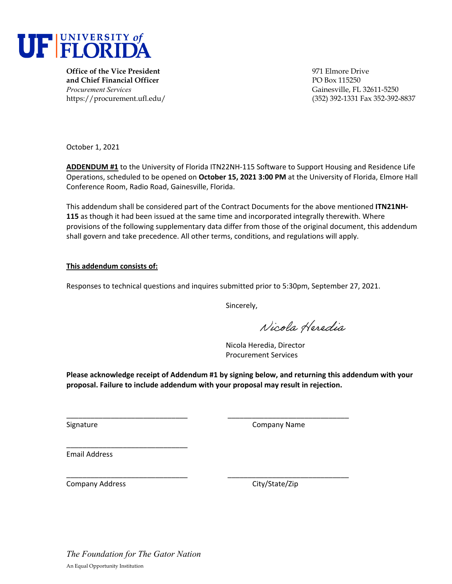

**Office of the Vice President** 971 Elmore Drive **and Chief Financial Officer PO Box 115250** *Procurement Services* Gainesville, FL 32611-5250

https://procurement.ufl.edu/ (352) 392-1331 Fax 352-392-8837

October 1, 2021

**ADDENDUM #1** to the University of Florida ITN22NH‐115 Software to Support Housing and Residence Life Operations, scheduled to be opened on **October 15, 2021 3:00 PM** at the University of Florida, Elmore Hall Conference Room, Radio Road, Gainesville, Florida.

This addendum shall be considered part of the Contract Documents for the above mentioned **ITN21NH‐ 115** as though it had been issued at the same time and incorporated integrally therewith. Where provisions of the following supplementary data differ from those of the original document, this addendum shall govern and take precedence. All other terms, conditions, and regulations will apply.

#### **This addendum consists of:**

Responses to technical questions and inquires submitted prior to 5:30pm, September 27, 2021.

Sincerely,

Nicola Heredia

Nicola Heredia, Director Procurement Services

**Please acknowledge receipt of Addendum #1 by signing below, and returning this addendum with your proposal. Failure to include addendum with your proposal may result in rejection.**

\_\_\_\_\_\_\_\_\_\_\_\_\_\_\_\_\_\_\_\_\_\_\_\_\_\_\_\_\_\_ \_\_\_\_\_\_\_\_\_\_\_\_\_\_\_\_\_\_\_\_\_\_\_\_\_\_\_\_\_\_

\_\_\_\_\_\_\_\_\_\_\_\_\_\_\_\_\_\_\_\_\_\_\_\_\_\_\_\_\_\_ \_\_\_\_\_\_\_\_\_\_\_\_\_\_\_\_\_\_\_\_\_\_\_\_\_\_\_\_\_\_

Signature **Company Name** 

Email Address

Company Address 
Company Address

Company City/State/Zip

\_\_\_\_\_\_\_\_\_\_\_\_\_\_\_\_\_\_\_\_\_\_\_\_\_\_\_\_\_\_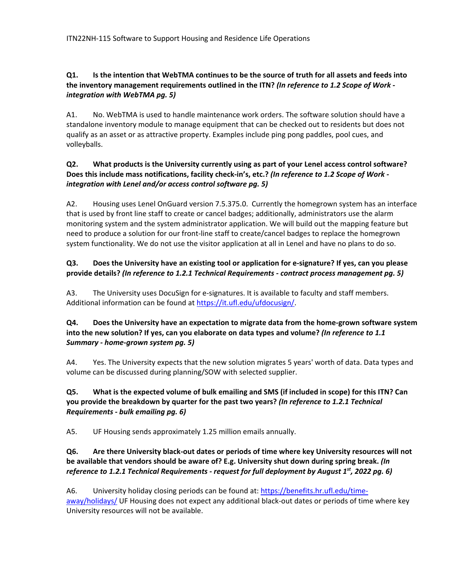# Q1. Is the intention that WebTMA continues to be the source of truth for all assets and feeds into **the inventory management requirements outlined in the ITN?** *(In reference to 1.2 Scope of Work ‐ integration with WebTMA pg. 5)*

A1. No. WebTMA is used to handle maintenance work orders. The software solution should have a standalone inventory module to manage equipment that can be checked out to residents but does not qualify as an asset or as attractive property. Examples include ping pong paddles, pool cues, and volleyballs.

# **Q2. What products is the University currently using as part of your Lenel access control software?** Does this include mass notifications, facility check-in's, etc.? (In reference to 1.2 Scope of Work *integration with Lenel and/or access control software pg. 5)*

A2. Housing uses Lenel OnGuard version 7.5.375.0. Currently the homegrown system has an interface that is used by front line staff to create or cancel badges; additionally, administrators use the alarm monitoring system and the system administrator application. We will build out the mapping feature but need to produce a solution for our front‐line staff to create/cancel badges to replace the homegrown system functionality. We do not use the visitor application at all in Lenel and have no plans to do so.

## Q3. Does the University have an existing tool or application for e-signature? If yes, can you please **provide details?** *(In reference to 1.2.1 Technical Requirements ‐ contract process management pg. 5)*

A3. The University uses DocuSign for e-signatures. It is available to faculty and staff members. Additional information can be found at https://it.ufl.edu/ufdocusign/.

# **Q4. Does the University have an expectation to migrate data from the home‐grown software system into the new solution? If yes, can you elaborate on data types and volume?** *(In reference to 1.1 Summary ‐ home‐grown system pg. 5)*

A4. Yes. The University expects that the new solution migrates 5 years' worth of data. Data types and volume can be discussed during planning/SOW with selected supplier.

# Q5. What is the expected volume of bulk emailing and SMS (if included in scope) for this ITN? Can **you provide the breakdown by quarter for the past two years?** *(In reference to 1.2.1 Technical Requirements ‐ bulk emailing pg. 6)*

A5. UF Housing sends approximately 1.25 million emails annually.

# Q6. Are there University black-out dates or periods of time where key University resources will not **be available that vendors should be aware of? E.g. University shut down during spring break.** *(In reference to 1.2.1 Technical Requirements ‐ request for full deployment by August 1st, 2022 pg. 6)*

A6. University holiday closing periods can be found at: https://benefits.hr.ufl.edu/time‐ away/holidays/ UF Housing does not expect any additional black‐out dates or periods of time where key University resources will not be available.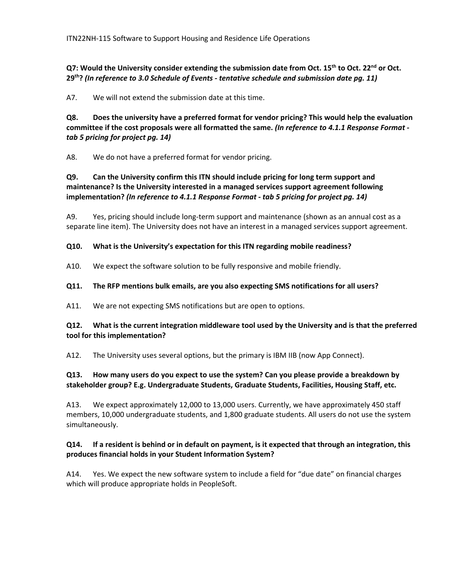**Q7: Would the University consider extending the submission date from Oct. 15th to Oct. 22nd or Oct. 29th?** *(In reference to 3.0 Schedule of Events ‐ tentative schedule and submission date pg. 11)* 

A7. We will not extend the submission date at this time.

**Q8. Does the university have a preferred format for vendor pricing? This would help the evaluation committee if the cost proposals were all formatted the same.** *(In reference to 4.1.1 Response Format ‐ tab 5 pricing for project pg. 14)* 

A8. We do not have a preferred format for vendor pricing.

## **Q9. Can the University confirm this ITN should include pricing for long term support and maintenance? Is the University interested in a managed services support agreement following implementation?** *(In reference to 4.1.1 Response Format ‐ tab 5 pricing for project pg. 14)*

A9. Yes, pricing should include long-term support and maintenance (shown as an annual cost as a separate line item). The University does not have an interest in a managed services support agreement.

#### **Q10. What is the University's expectation for this ITN regarding mobile readiness?**

A10. We expect the software solution to be fully responsive and mobile friendly.

#### **Q11. The RFP mentions bulk emails, are you also expecting SMS notifications for all users?**

A11. We are not expecting SMS notifications but are open to options.

#### **Q12. What is the current integration middleware tool used by the University and is that the preferred tool for this implementation?**

A12. The University uses several options, but the primary is IBM IIB (now App Connect).

### **Q13. How many users do you expect to use the system? Can you please provide a breakdown by stakeholder group? E.g. Undergraduate Students, Graduate Students, Facilities, Housing Staff, etc.**

A13. We expect approximately 12,000 to 13,000 users. Currently, we have approximately 450 staff members, 10,000 undergraduate students, and 1,800 graduate students. All users do not use the system simultaneously.

#### Q14. If a resident is behind or in default on payment, is it expected that through an integration, this **produces financial holds in your Student Information System?**

A14. Yes. We expect the new software system to include a field for "due date" on financial charges which will produce appropriate holds in PeopleSoft.